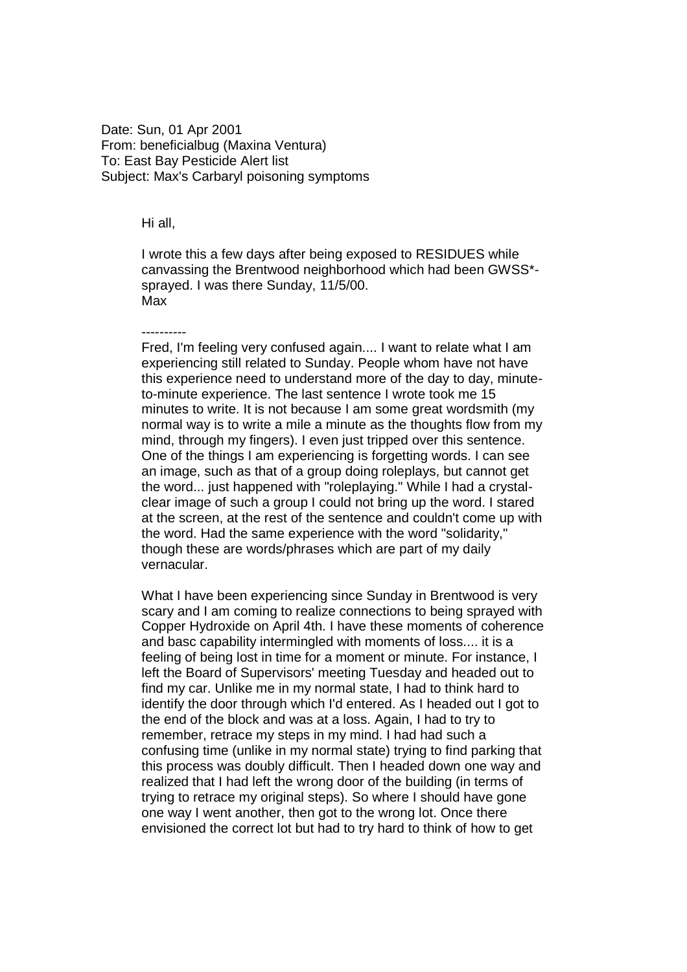Date: Sun, 01 Apr 2001 From: beneficialbug (Maxina Ventura) To: East Bay Pesticide Alert list Subject: Max's Carbaryl poisoning symptoms

## Hi all,

I wrote this a few days after being exposed to RESIDUES while canvassing the Brentwood neighborhood which had been GWSS\* sprayed. I was there Sunday, 11/5/00. Max

----------

Fred, I'm feeling very confused again.... I want to relate what I am experiencing still related to Sunday. People whom have not have this experience need to understand more of the day to day, minuteto-minute experience. The last sentence I wrote took me 15 minutes to write. It is not because I am some great wordsmith (my normal way is to write a mile a minute as the thoughts flow from my mind, through my fingers). I even just tripped over this sentence. One of the things I am experiencing is forgetting words. I can see an image, such as that of a group doing roleplays, but cannot get the word... just happened with "roleplaying." While I had a crystalclear image of such a group I could not bring up the word. I stared at the screen, at the rest of the sentence and couldn't come up with the word. Had the same experience with the word "solidarity," though these are words/phrases which are part of my daily vernacular.

What I have been experiencing since Sunday in Brentwood is very scary and I am coming to realize connections to being sprayed with Copper Hydroxide on April 4th. I have these moments of coherence and basc capability intermingled with moments of loss.... it is a feeling of being lost in time for a moment or minute. For instance, I left the Board of Supervisors' meeting Tuesday and headed out to find my car. Unlike me in my normal state, I had to think hard to identify the door through which I'd entered. As I headed out I got to the end of the block and was at a loss. Again, I had to try to remember, retrace my steps in my mind. I had had such a confusing time (unlike in my normal state) trying to find parking that this process was doubly difficult. Then I headed down one way and realized that I had left the wrong door of the building (in terms of trying to retrace my original steps). So where I should have gone one way I went another, then got to the wrong lot. Once there envisioned the correct lot but had to try hard to think of how to get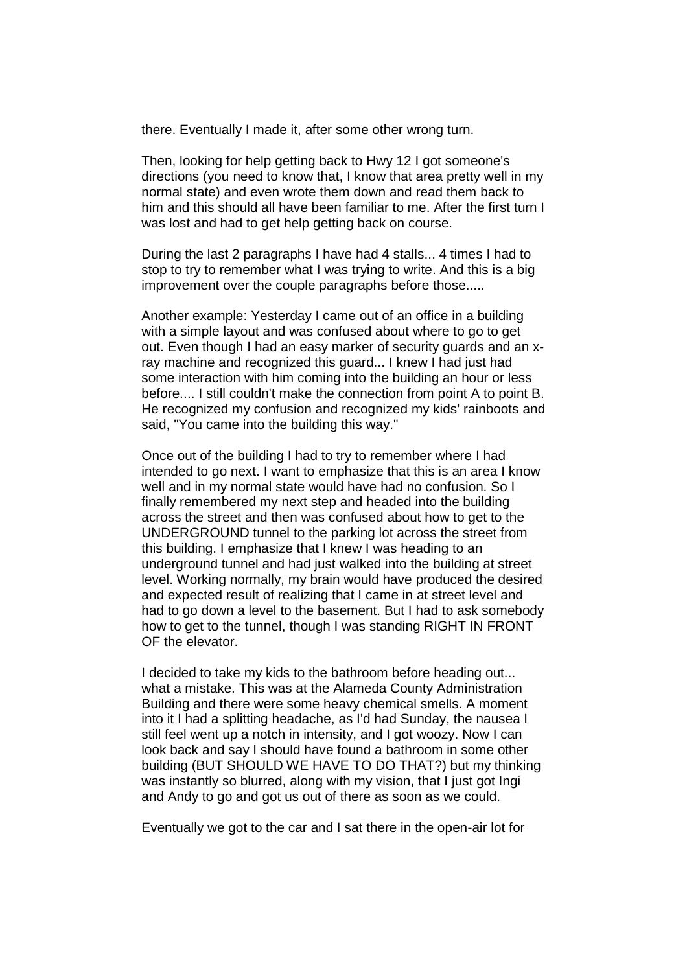there. Eventually I made it, after some other wrong turn.

Then, looking for help getting back to Hwy 12 I got someone's directions (you need to know that, I know that area pretty well in my normal state) and even wrote them down and read them back to him and this should all have been familiar to me. After the first turn I was lost and had to get help getting back on course.

During the last 2 paragraphs I have had 4 stalls... 4 times I had to stop to try to remember what I was trying to write. And this is a big improvement over the couple paragraphs before those.....

Another example: Yesterday I came out of an office in a building with a simple layout and was confused about where to go to get out. Even though I had an easy marker of security guards and an xray machine and recognized this guard... I knew I had just had some interaction with him coming into the building an hour or less before.... I still couldn't make the connection from point A to point B. He recognized my confusion and recognized my kids' rainboots and said, "You came into the building this way."

Once out of the building I had to try to remember where I had intended to go next. I want to emphasize that this is an area I know well and in my normal state would have had no confusion. So I finally remembered my next step and headed into the building across the street and then was confused about how to get to the UNDERGROUND tunnel to the parking lot across the street from this building. I emphasize that I knew I was heading to an underground tunnel and had just walked into the building at street level. Working normally, my brain would have produced the desired and expected result of realizing that I came in at street level and had to go down a level to the basement. But I had to ask somebody how to get to the tunnel, though I was standing RIGHT IN FRONT OF the elevator.

I decided to take my kids to the bathroom before heading out... what a mistake. This was at the Alameda County Administration Building and there were some heavy chemical smells. A moment into it I had a splitting headache, as I'd had Sunday, the nausea I still feel went up a notch in intensity, and I got woozy. Now I can look back and say I should have found a bathroom in some other building (BUT SHOULD WE HAVE TO DO THAT?) but my thinking was instantly so blurred, along with my vision, that I just got Ingi and Andy to go and got us out of there as soon as we could.

Eventually we got to the car and I sat there in the open-air lot for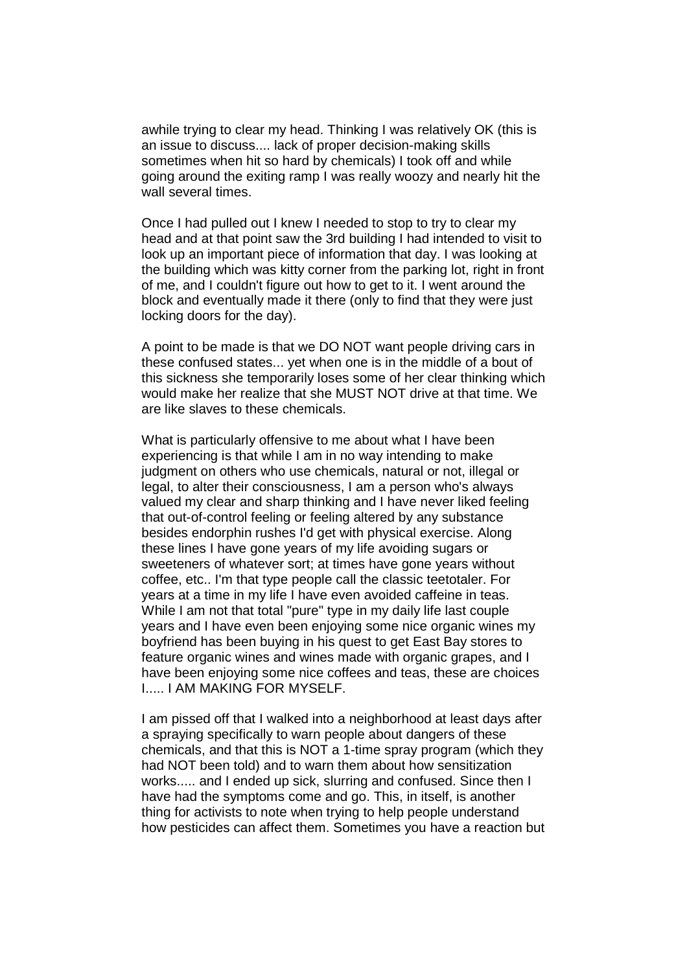awhile trying to clear my head. Thinking I was relatively OK (this is an issue to discuss.... lack of proper decision-making skills sometimes when hit so hard by chemicals) I took off and while going around the exiting ramp I was really woozy and nearly hit the wall several times.

Once I had pulled out I knew I needed to stop to try to clear my head and at that point saw the 3rd building I had intended to visit to look up an important piece of information that day. I was looking at the building which was kitty corner from the parking lot, right in front of me, and I couldn't figure out how to get to it. I went around the block and eventually made it there (only to find that they were just locking doors for the day).

A point to be made is that we DO NOT want people driving cars in these confused states... yet when one is in the middle of a bout of this sickness she temporarily loses some of her clear thinking which would make her realize that she MUST NOT drive at that time. We are like slaves to these chemicals.

What is particularly offensive to me about what I have been experiencing is that while I am in no way intending to make judgment on others who use chemicals, natural or not, illegal or legal, to alter their consciousness, I am a person who's always valued my clear and sharp thinking and I have never liked feeling that out-of-control feeling or feeling altered by any substance besides endorphin rushes I'd get with physical exercise. Along these lines I have gone years of my life avoiding sugars or sweeteners of whatever sort; at times have gone years without coffee, etc.. I'm that type people call the classic teetotaler. For years at a time in my life I have even avoided caffeine in teas. While I am not that total "pure" type in my daily life last couple years and I have even been enjoying some nice organic wines my boyfriend has been buying in his quest to get East Bay stores to feature organic wines and wines made with organic grapes, and I have been enjoying some nice coffees and teas, these are choices I..... I AM MAKING FOR MYSELF.

I am pissed off that I walked into a neighborhood at least days after a spraying specifically to warn people about dangers of these chemicals, and that this is NOT a 1-time spray program (which they had NOT been told) and to warn them about how sensitization works..... and I ended up sick, slurring and confused. Since then I have had the symptoms come and go. This, in itself, is another thing for activists to note when trying to help people understand how pesticides can affect them. Sometimes you have a reaction but